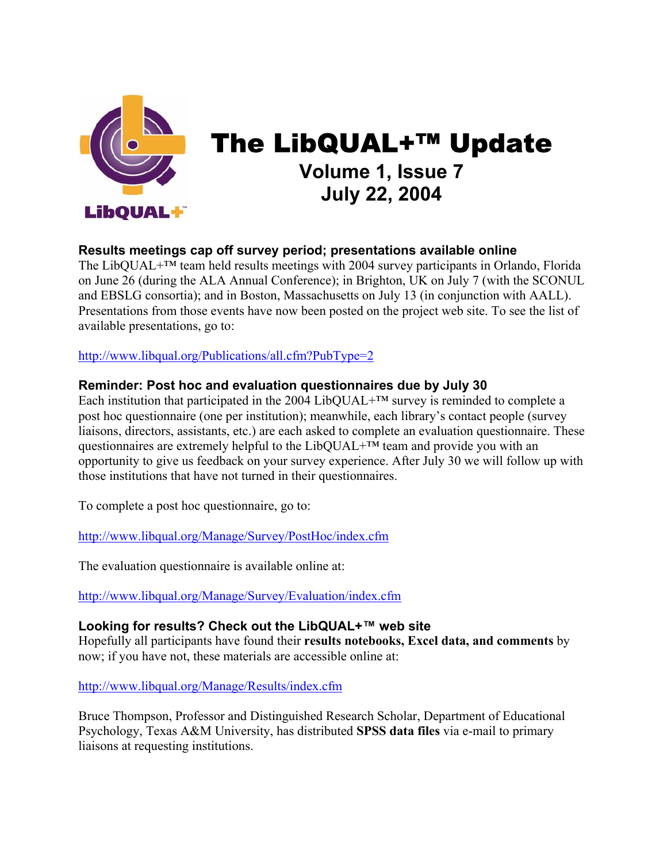

# The LibQUAL+™ Update **Volume 1, Issue 7 July 22, 2004**

## **Results meetings cap off survey period; presentations available online**

The LibQUAL+™ team held results meetings with 2004 survey participants in Orlando, Florida on June 26 (during the ALA Annual Conference); in Brighton, UK on July 7 (with the SCONUL and EBSLG consortia); and in Boston, Massachusetts on July 13 (in conjunction with AALL). Presentations from those events have now been posted on the project web site. To see the list of available presentations, go to:

[http://www.libqual.org/Publications/all.cfm?PubType=2](http://old.libqual.org/Publications/all.cfm?PubType=2)

## **Reminder: Post hoc and evaluation questionnaires due by July 30**

Each institution that participated in the 2004 LibQUAL+ $TM$  survey is reminded to complete a post hoc questionnaire (one per institution); meanwhile, each library's contact people (survey liaisons, directors, assistants, etc.) are each asked to complete an evaluation questionnaire. These questionnaires are extremely helpful to the LibQUAL $+^{TM}$  team and provide you with an opportunity to give us feedback on your survey experience. After July 30 we will follow up with those institutions that have not turned in their questionnaires.

To complete a post hoc questionnaire, go to:

[http://www.libqual.org/Manage/Survey/PostHoc/index.cfm](http://old.libqual.org/Manage/Survey/PostHoc/index.cfm)

The evaluation questionnaire is available online at:

[http://www.libqual.org/Manage/Survey/Evaluation/index.cfm](http://old.libqual.org/Manage/Survey/Evaluation/index.cfm)

## **Looking for results? Check out the LibQUAL+™ web site**

Hopefully all participants have found their **results notebooks, Excel data, and comments** by now; if you have not, these materials are accessible online at:

[http://www.libqual.org/Manage/Results/index.cfm](http://old.libqual.org/Manage/Results/index.cfm)

Bruce Thompson, Professor and Distinguished Research Scholar, Department of Educational Psychology, Texas A&M University, has distributed **SPSS data files** via e-mail to primary liaisons at requesting institutions.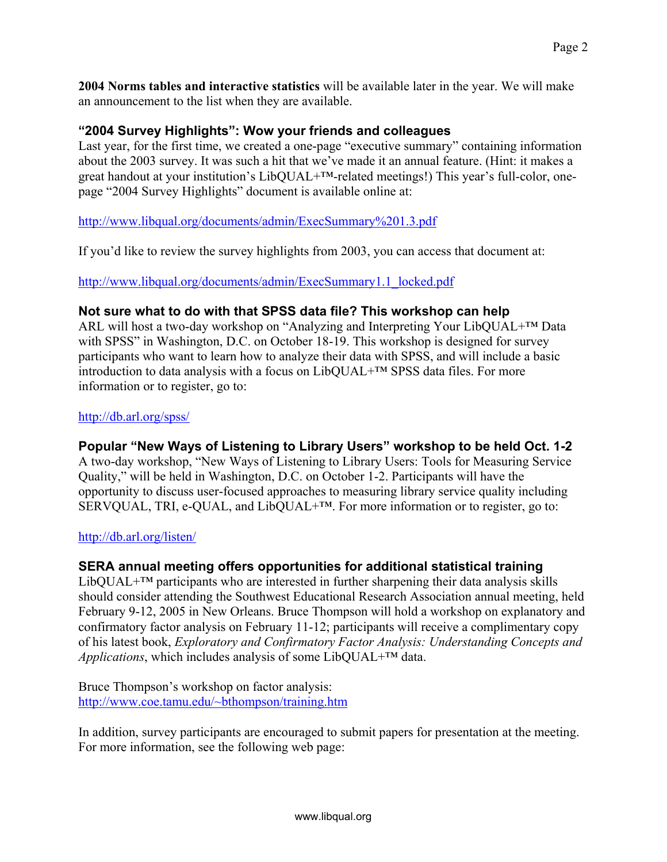**2004 Norms tables and interactive statistics** will be available later in the year. We will make an announcement to the list when they are available.

## **"2004 Survey Highlights": Wow your friends and colleagues**

Last year, for the first time, we created a one-page "executive summary" containing information about the 2003 survey. It was such a hit that we've made it an annual feature. (Hint: it makes a great handout at your institution's LibQUAL+™-related meetings!) This year's full-color, onepage "2004 Survey Highlights" document is available online at:

## [http://www.libqual.org/documents/admin/ExecSummary%201.3.pdf](http://old.libqual.org/documents/admin/ExecSummary 1.3.pdf)

If you'd like to review the survey highlights from 2003, you can access that document at:

[http://www.libqual.org/documents/admin/ExecSummary1.1\\_locked.pdf](http://old.libqual.org/documents/admin/ExecSummary1.1_locked.pdf)

## **Not sure what to do with that SPSS data file? This workshop can help**

ARL will host a two-day workshop on "Analyzing and Interpreting Your LibQUAL+™ Data with SPSS" in Washington, D.C. on October 18-19. This workshop is designed for survey participants who want to learn how to analyze their data with SPSS, and will include a basic introduction to data analysis with a focus on LibQUAL+™ SPSS data files. For more information or to register, go to:

#### <http://db.arl.org/spss/>

## **Popular "New Ways of Listening to Library Users" workshop to be held Oct. 1-2**

A two-day workshop, "New Ways of Listening to Library Users: Tools for Measuring Service Quality," will be held in Washington, D.C. on October 1-2. Participants will have the opportunity to discuss user-focused approaches to measuring library service quality including SERVQUAL, TRI, e-QUAL, and LibQUAL<sup>+TM</sup>. For more information or to register, go to:

## <http://db.arl.org/listen/>

## **SERA annual meeting offers opportunities for additional statistical training**

LibQUAL $+^{TM}$  participants who are interested in further sharpening their data analysis skills should consider attending the Southwest Educational Research Association annual meeting, held February 9-12, 2005 in New Orleans. Bruce Thompson will hold a workshop on explanatory and confirmatory factor analysis on February 11-12; participants will receive a complimentary copy of his latest book, *Exploratory and Confirmatory Factor Analysis: Understanding Concepts and Applications*, which includes analysis of some LibQUAL+™ data.

Bruce Thompson's workshop on factor analysis: <http://www.coe.tamu.edu/~bthompson/training.htm>

In addition, survey participants are encouraged to submit papers for presentation at the meeting. For more information, see the following web page: